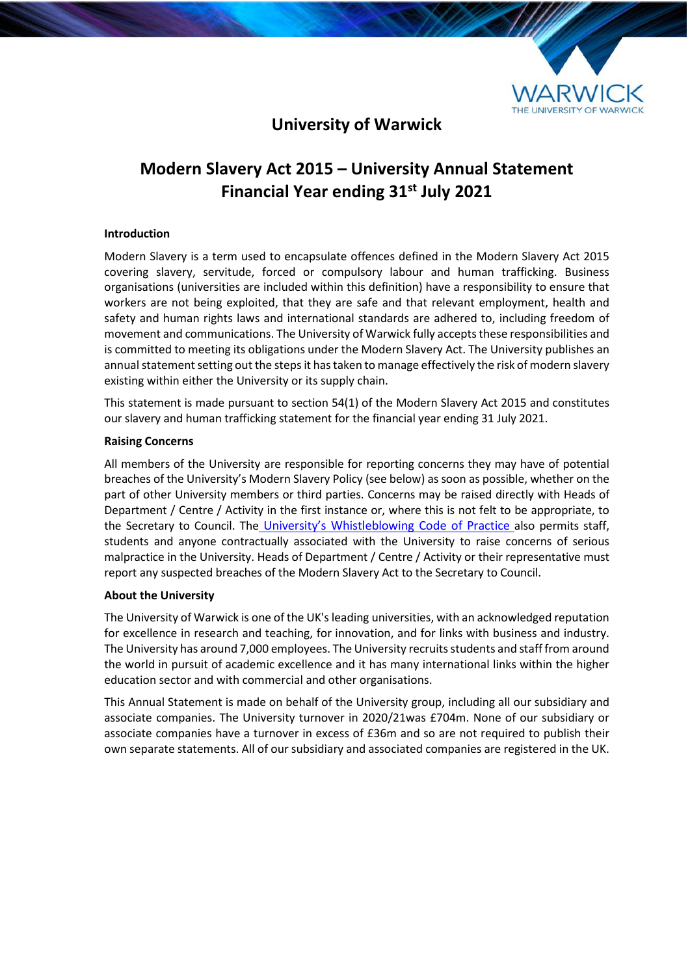

# **University of Warwick**

# **Modern Slavery Act 2015 – University Annual Statement Financial Year ending 31st July 2021**

# **Introduction**

Modern Slavery is a term used to encapsulate offences defined in the Modern Slavery Act 2015 covering slavery, servitude, forced or compulsory labour and human trafficking. Business organisations (universities are included within this definition) have a responsibility to ensure that workers are not being exploited, that they are safe and that relevant employment, health and safety and human rights laws and international standards are adhered to, including freedom of movement and communications. The University of Warwick fully accepts these responsibilities and is committed to meeting its obligations under the Modern Slavery Act. The University publishes an annual statement setting out the steps it has taken to manage effectively the risk of modern slavery existing within either the University or its supply chain.

This statement is made pursuant to section 54(1) of the Modern Slavery Act 2015 and constitutes our slavery and human trafficking statement for the financial year ending 31 July 2021.

#### **Raising Concerns**

All members of the University are responsible for reporting concerns they may have of potential breaches of the University's Modern Slavery Policy (see below) as soon as possible, whether on the part of other University members or third parties. Concerns may be raised directly with Heads of Department / Centre / Activity in the first instance or, where this is not felt to be appropriate, to the Secretary to Council. The [University's Whistleblowing Code of Practice](https://warwick.ac.uk/services/gov/whistleblowing/) also permits staff, students and anyone contractually associated with the University to raise concerns of serious malpractice in the University. Heads of Department / Centre / Activity or their representative must report any suspected breaches of the Modern Slavery Act to the Secretary to Council.

#### **About the University**

The University of Warwick is one of the UK's leading universities, with an acknowledged reputation for excellence in research and teaching, for innovation, and for links with business and industry. The University has around 7,000 employees. The University recruits students and staff from around the world in pursuit of academic excellence and it has many international links within the higher education sector and with commercial and other organisations.

This Annual Statement is made on behalf of the University group, including all our subsidiary and associate companies. The University turnover in 2020/21was £704m. None of our subsidiary or associate companies have a turnover in excess of £36m and so are not required to publish their own separate statements. All of our subsidiary and associated companies are registered in the UK.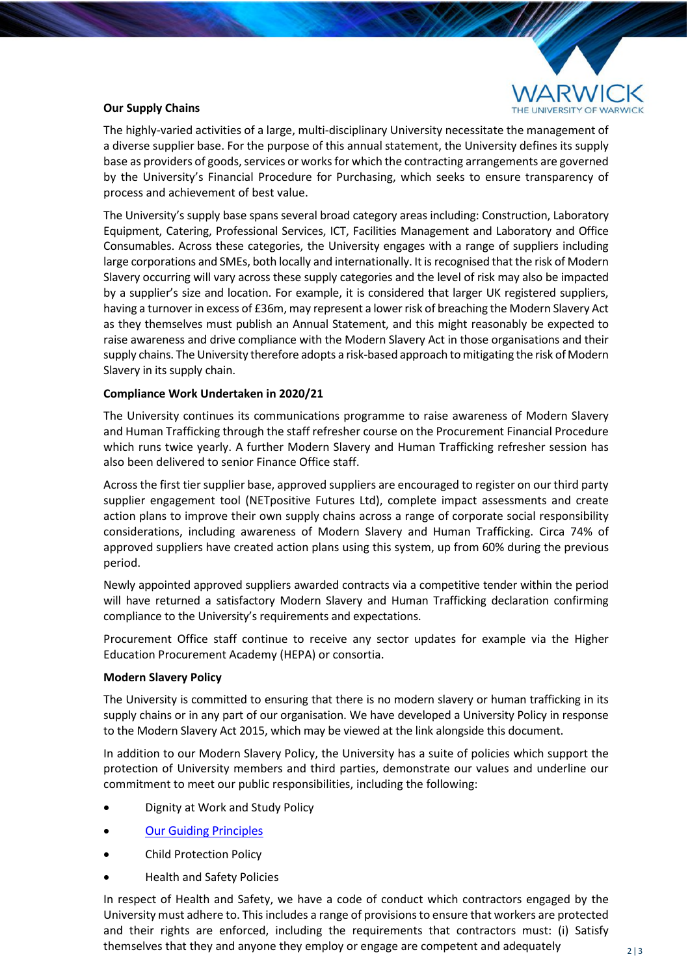

## **Our Supply Chains**

The highly-varied activities of a large, multi-disciplinary University necessitate the management of a diverse supplier base. For the purpose of this annual statement, the University defines its supply base as providers of goods, services or works for which the contracting arrangements are governed by the University's Financial Procedure for Purchasing, which seeks to ensure transparency of process and achievement of best value.

The University's supply base spans several broad category areas including: Construction, Laboratory Equipment, Catering, Professional Services, ICT, Facilities Management and Laboratory and Office Consumables. Across these categories, the University engages with a range of suppliers including large corporations and SMEs, both locally and internationally. It is recognised that the risk of Modern Slavery occurring will vary across these supply categories and the level of risk may also be impacted by a supplier's size and location. For example, it is considered that larger UK registered suppliers, having a turnover in excess of £36m, may represent a lower risk of breaching the Modern Slavery Act as they themselves must publish an Annual Statement, and this might reasonably be expected to raise awareness and drive compliance with the Modern Slavery Act in those organisations and their supply chains. The University therefore adopts a risk-based approach to mitigating the risk of Modern Slavery in its supply chain.

#### **Compliance Work Undertaken in 2020/21**

The University continues its communications programme to raise awareness of Modern Slavery and Human Trafficking through the staff refresher course on the Procurement Financial Procedure which runs twice yearly. A further Modern Slavery and Human Trafficking refresher session has also been delivered to senior Finance Office staff.

Across the first tier supplier base, approved suppliers are encouraged to register on our third party supplier engagement tool (NETpositive Futures Ltd), complete impact assessments and create action plans to improve their own supply chains across a range of corporate social responsibility considerations, including awareness of Modern Slavery and Human Trafficking. Circa 74% of approved suppliers have created action plans using this system, up from 60% during the previous period.

Newly appointed approved suppliers awarded contracts via a competitive tender within the period will have returned a satisfactory Modern Slavery and Human Trafficking declaration confirming compliance to the University's requirements and expectations.

Procurement Office staff continue to receive any sector updates for example via the Higher Education Procurement Academy (HEPA) or consortia.

#### **Modern Slavery Policy**

The University is committed to ensuring that there is no modern slavery or human trafficking in its supply chains or in any part of our organisation. We have developed a University Policy in response to the Modern Slavery Act 2015, which may be viewed at the link alongside this document.

In addition to our Modern Slavery Policy, the University has a suite of policies which support the protection of University members and third parties, demonstrate our values and underline our commitment to meet our public responsibilities, including the following:

- Dignity at Work and Study Policy
- [Our Guiding Principles](https://warwick.ac.uk/newsandevents/independent_external_review/guiding-principles)
- Child Protection Policy
- Health and Safety Policies

In respect of Health and Safety, we have a code of conduct which contractors engaged by the University must adhere to. This includes a range of provisions to ensure that workers are protected and their rights are enforced, including the requirements that contractors must: (i) Satisfy themselves that they and anyone they employ or engage are competent and adequately  $_{2|3}$